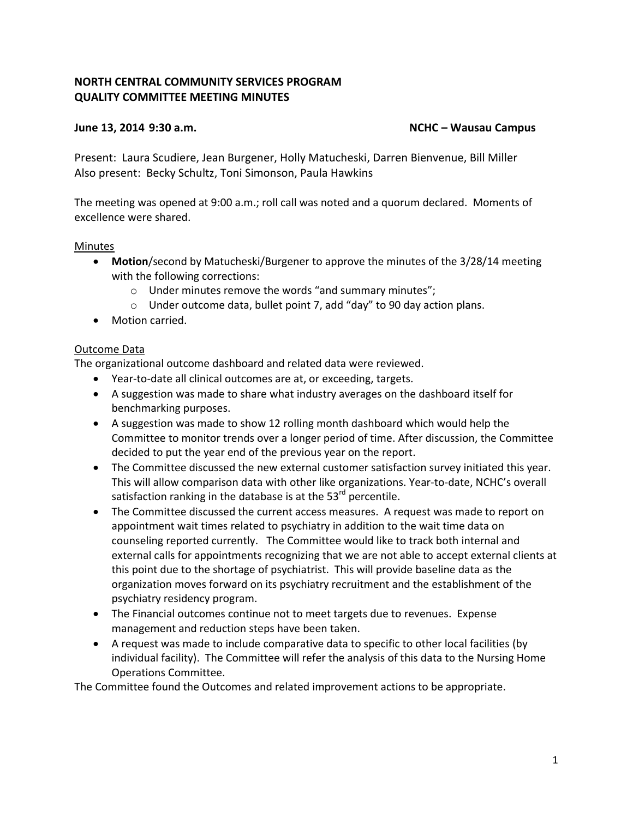# **NORTH CENTRAL COMMUNITY SERVICES PROGRAM QUALITY COMMITTEE MEETING MINUTES**

## **June 13, 2014 9:30 a.m. NCHC – Wausau Campus**

Present: Laura Scudiere, Jean Burgener, Holly Matucheski, Darren Bienvenue, Bill Miller Also present: Becky Schultz, Toni Simonson, Paula Hawkins

The meeting was opened at 9:00 a.m.; roll call was noted and a quorum declared. Moments of excellence were shared.

#### Minutes

- **Motion**/second by Matucheski/Burgener to approve the minutes of the 3/28/14 meeting with the following corrections:
	- o Under minutes remove the words "and summary minutes";
	- o Under outcome data, bullet point 7, add "day" to 90 day action plans.
- Motion carried.

# Outcome Data

The organizational outcome dashboard and related data were reviewed.

- Year-to-date all clinical outcomes are at, or exceeding, targets.
- A suggestion was made to share what industry averages on the dashboard itself for benchmarking purposes.
- A suggestion was made to show 12 rolling month dashboard which would help the Committee to monitor trends over a longer period of time. After discussion, the Committee decided to put the year end of the previous year on the report.
- The Committee discussed the new external customer satisfaction survey initiated this year. This will allow comparison data with other like organizations. Year-to-date, NCHC's overall satisfaction ranking in the database is at the  $53<sup>rd</sup>$  percentile.
- The Committee discussed the current access measures. A request was made to report on appointment wait times related to psychiatry in addition to the wait time data on counseling reported currently. The Committee would like to track both internal and external calls for appointments recognizing that we are not able to accept external clients at this point due to the shortage of psychiatrist. This will provide baseline data as the organization moves forward on its psychiatry recruitment and the establishment of the psychiatry residency program.
- The Financial outcomes continue not to meet targets due to revenues. Expense management and reduction steps have been taken.
- A request was made to include comparative data to specific to other local facilities (by individual facility). The Committee will refer the analysis of this data to the Nursing Home Operations Committee.

The Committee found the Outcomes and related improvement actions to be appropriate.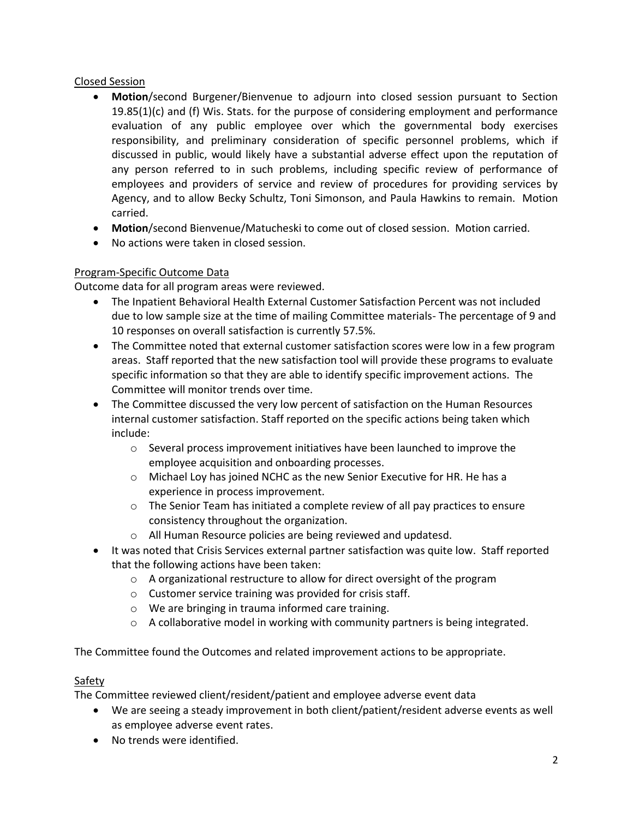# Closed Session

- **Motion**/second Burgener/Bienvenue to adjourn into closed session pursuant to Section 19.85(1)(c) and (f) Wis. Stats. for the purpose of considering employment and performance evaluation of any public employee over which the governmental body exercises responsibility, and preliminary consideration of specific personnel problems, which if discussed in public, would likely have a substantial adverse effect upon the reputation of any person referred to in such problems, including specific review of performance of employees and providers of service and review of procedures for providing services by Agency, and to allow Becky Schultz, Toni Simonson, and Paula Hawkins to remain. Motion carried.
- **Motion**/second Bienvenue/Matucheski to come out of closed session. Motion carried.
- No actions were taken in closed session.

# Program-Specific Outcome Data

Outcome data for all program areas were reviewed.

- The Inpatient Behavioral Health External Customer Satisfaction Percent was not included due to low sample size at the time of mailing Committee materials- The percentage of 9 and 10 responses on overall satisfaction is currently 57.5%.
- The Committee noted that external customer satisfaction scores were low in a few program areas. Staff reported that the new satisfaction tool will provide these programs to evaluate specific information so that they are able to identify specific improvement actions. The Committee will monitor trends over time.
- The Committee discussed the very low percent of satisfaction on the Human Resources internal customer satisfaction. Staff reported on the specific actions being taken which include:
	- o Several process improvement initiatives have been launched to improve the employee acquisition and onboarding processes.
	- o Michael Loy has joined NCHC as the new Senior Executive for HR. He has a experience in process improvement.
	- $\circ$  The Senior Team has initiated a complete review of all pay practices to ensure consistency throughout the organization.
	- o All Human Resource policies are being reviewed and updatesd.
- It was noted that Crisis Services external partner satisfaction was quite low. Staff reported that the following actions have been taken:
	- o A organizational restructure to allow for direct oversight of the program
	- o Customer service training was provided for crisis staff.
	- o We are bringing in trauma informed care training.
	- $\circ$  A collaborative model in working with community partners is being integrated.

The Committee found the Outcomes and related improvement actions to be appropriate.

# Safety

The Committee reviewed client/resident/patient and employee adverse event data

- We are seeing a steady improvement in both client/patient/resident adverse events as well as employee adverse event rates.
- No trends were identified.